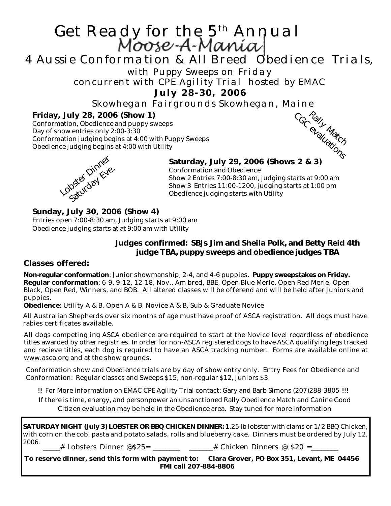# Get Ready for the 5<sup>th</sup> Annual<br>Moose-A-Mania

# 4 Aussie Conformation & All Breed Obedience Trials,

with Puppy Sweeps on Friday

concurrent with CPE Agility Trial hosted by EMAC

**July 28-30, 2006**

Skowhegan Fairgrounds Skowhegan, Maine

#### **Friday, July 28, 2006 (Show 1)**

Conformation, Obedience and puppy sweeps Day of show entries only 2:00-3:30 Conformation judging begins at 4:00 with Puppy Sweeps Obedience judging begins at 4:00 with Utility





### **Saturday, July 29, 2006 (Shows 2 & 3)**

Conformation and Obedience Show 2 Entries 7:00-8:30 am, judging starts at 9:00 am Show 3 Entries 11:00-1200, judging starts at 1:00 pm Obedience judging starts with Utility

#### **Sunday, July 30, 2006 (Show 4)**

Entries open 7:00-8:30 am, Judging starts at 9:00 am Obedience judging starts at at 9:00 am with Utility

#### **Judges confirmed: SBJs Jim and Sheila Polk, and Betty Reid 4th judge TBA, puppy sweeps and obedience judges TBA**

#### **Classes offered:**

**Non-regular conformation**: Junior showmanship, 2-4, and 4-6 puppies. **Puppy sweepstakes on Friday. Regular conformation**: 6-9, 9-12, 12-18, Nov., Am bred, BBE, Open Blue Merle, Open Red Merle, Open Black, Open Red, Winners, and BOB. All altered classes will be offerend and will be held after Juniors and puppies.

**Obedience**: Utility A & B, Open A & B, Novice A & B, Sub & Graduate Novice

All Australian Shepherds over six months of age must have proof of ASCA registration. All dogs must have rabies certificates available.

All dogs competing ing ASCA obedience are required to start at the Novice level regardless of obedience titles awarded by other registries. In order for non-ASCA registered dogs to have ASCA qualifying legs tracked and recieve titles, each dog is required to have an ASCA tracking number. Forms are available online at www.asca.org and at the show grounds.

Conformation show and Obedience trials are by day of show entry only. Entry Fees for Obedience and Conformation: Regular classes and Sweeps \$15, non-regular \$12, Juniors \$3

!!! For More information on EMAC CPE Agility Trial contact: Gary and Barb Simons (207)288-3805 !!!!

If there is time, energy, and personpower an unsanctioned Rally Obedience Match and Canine Good Citizen evaluation may be held in the Obedience area. Stay tuned for more information

**SATURDAY NIGHT (July 3) LOBSTER OR BBQ CHICKEN DINNER:** 1.25 lb lobster with clams or 1/2 BBQ Chicken, with corn on the cob, pasta and potato salads, rolls and blueberry cake. Dinners must be ordered by July 12, 2006.  $\qquad \qquad \#$  Lobsters Dinner @\$25=  $\qquad \qquad \#$  Chicken Dinners @ \$20 =

**To reserve dinner, send this form with payment to: Clara Grover, PO Box 351, Levant, ME 04456 FMI call 207-884-8806**